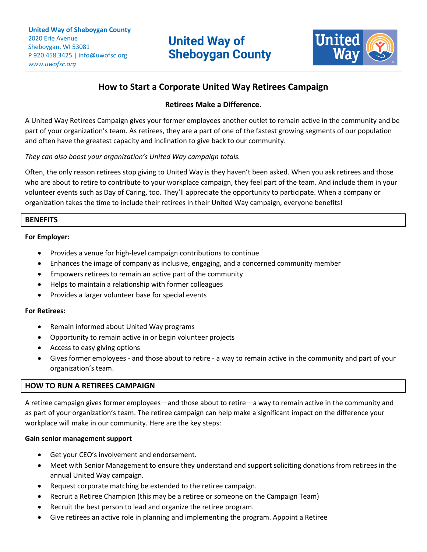

# **How to Start a Corporate United Way Retirees Campaign**

\_\_\_\_\_\_\_\_\_\_\_\_\_\_\_\_\_\_\_\_\_\_\_\_\_\_\_\_\_\_\_\_\_\_\_\_\_\_\_\_\_\_\_\_\_\_\_\_\_\_\_\_\_\_\_\_\_\_\_\_\_\_\_\_\_\_\_\_\_\_\_\_\_\_\_\_\_\_\_\_\_\_\_\_\_\_\_\_\_\_\_\_\_\_\_\_\_\_\_\_\_\_\_\_\_\_\_\_\_\_\_\_\_\_\_\_\_\_\_\_\_\_\_\_\_\_\_\_\_\_\_\_\_\_\_\_\_\_\_\_\_\_\_\_\_\_\_\_\_\_\_\_\_\_\_\_\_\_\_\_\_\_\_\_\_\_\_\_\_\_\_\_\_\_\_\_\_\_\_\_\_\_\_\_\_\_\_\_\_\_\_\_\_\_\_\_\_\_\_\_\_\_\_\_\_\_\_\_\_\_\_\_\_\_\_\_\_\_\_\_\_\_\_\_\_\_\_\_\_\_\_\_\_\_\_\_\_\_\_\_\_\_\_\_\_\_\_\_\_\_\_\_\_\_\_\_\_\_\_\_\_\_\_\_\_\_\_\_\_\_\_

# **Retirees Make a Difference.**

A United Way Retirees Campaign gives your former employees another outlet to remain active in the community and be part of your organization's team. As retirees, they are a part of one of the fastest growing segments of our population and often have the greatest capacity and inclination to give back to our community.

# *They can also boost your organization's United Way campaign totals.*

Often, the only reason retirees stop giving to United Way is they haven't been asked. When you ask retirees and those who are about to retire to contribute to your workplace campaign, they feel part of the team. And include them in your volunteer events such as Day of Caring, too. They'll appreciate the opportunity to participate. When a company or organization takes the time to include their retirees in their United Way campaign, everyone benefits!

# **BENEFITS**

#### **For Employer:**

- Provides a venue for high-level campaign contributions to continue
- Enhances the image of company as inclusive, engaging, and a concerned community member
- Empowers retirees to remain an active part of the community
- Helps to maintain a relationship with former colleagues
- Provides a larger volunteer base for special events

#### **For Retirees:**

- Remain informed about United Way programs
- Opportunity to remain active in or begin volunteer projects
- Access to easy giving options
- Gives former employees and those about to retire a way to remain active in the community and part of your organization's team.

#### **HOW TO RUN A RETIREES CAMPAIGN**

A retiree campaign gives former employees—and those about to retire—a way to remain active in the community and as part of your organization's team. The retiree campaign can help make a significant impact on the difference your workplace will make in our community. Here are the key steps:

#### **Gain senior management support**

- Get your CEO's involvement and endorsement.
- Meet with Senior Management to ensure they understand and support soliciting donations from retirees in the annual United Way campaign.
- Request corporate matching be extended to the retiree campaign.
- Recruit a Retiree Champion (this may be a retiree or someone on the Campaign Team)
- Recruit the best person to lead and organize the retiree program.
- Give retirees an active role in planning and implementing the program. Appoint a Retiree